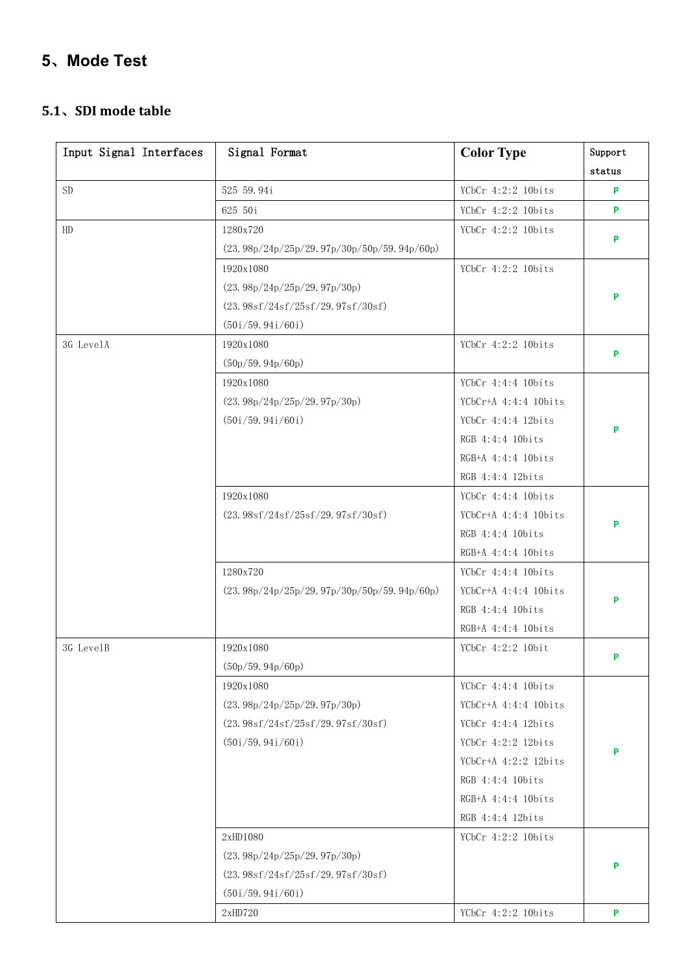# **5**、**Mode Test**

#### **5.1**、**SDI mode table**

| Input Signal Interfaces | Signal Format                                | <b>Color Type</b>      | Support |
|-------------------------|----------------------------------------------|------------------------|---------|
|                         |                                              |                        | status  |
| ${\rm SD}$              | 525 59.94i                                   | YCbCr 4:2:2 10bits     | P       |
|                         | 625 50i                                      | YCbCr 4:2:2 10bits     | P       |
| HD                      | 1280x720                                     | YCbCr 4:2:2 10bits     |         |
|                         | $(23.98p/24p/25p/29.97p/30p/50p/59.94p/60p)$ |                        | P       |
|                         | 1920x1080                                    | YCbCr 4:2:2 10bits     |         |
|                         | (23.98p/24p/25p/29.97p/30p)                  |                        |         |
|                         | (23.98sf/24sf/25sf/29.97sf/30sf)             |                        | P       |
|                         | (50i/59.94i/60i)                             |                        |         |
| 3G LevelA               | 1920x1080                                    | YCbCr 4:2:2 10bits     |         |
|                         | (50p/59.94p/60p)                             |                        | P       |
|                         | 1920x1080                                    | YCbCr 4:4:4 10bits     |         |
|                         | (23.98p/24p/25p/29.97p/30p)                  | $YCbCr+A$ 4:4:4 10bits |         |
|                         | (50i/59.94i/60i)                             | YCbCr 4:4:4 12bits     |         |
|                         |                                              | RGB 4:4:4 10bits       | P       |
|                         |                                              | RGB+A 4:4:4 10bits     |         |
|                         |                                              | RGB 4:4:4 12bits       |         |
|                         | 1920x1080                                    | YCbCr $4:4:4$ 10bits   |         |
|                         | (23.98sf/24sf/25sf/29.97sf/30sf)             | $YCbCr+A$ 4:4:4 10bits |         |
|                         |                                              | RGB 4:4:4 10bits       | P       |
|                         |                                              | RGB+A 4:4:4 10bits     |         |
|                         | 1280x720                                     | YCbCr $4:4:4$ 10bits   |         |
|                         | $(23.98p/24p/25p/29.97p/30p/50p/59.94p/60p)$ | $YChCr+A$ 4:4:4 10bits | P       |
|                         |                                              | RGB 4:4:4 10bits       |         |
|                         |                                              | RGB+A 4:4:4 10bits     |         |
| 3G LevelB               | 1920x1080                                    | YCbCr 4:2:2 10bit      |         |
|                         | (50p/59.94p/60p)                             |                        | P       |
|                         | 1920x1080                                    | YCbCr 4:4:4 10bits     |         |
|                         | (23.98p/24p/25p/29.97p/30p)                  | $YCbCr+A$ 4:4:4 10bits |         |
|                         | (23. 98sf/24sf/25sf/29. 97sf/30sf)           | YCbCr 4:4:4 12bits     |         |
|                         | (50i/59.94i/60i)                             | YCbCr 4:2:2 12bits     | P       |
|                         |                                              | YCbCr+A 4:2:2 12bits   |         |
|                         |                                              | RGB 4:4:4 10bits       |         |
|                         |                                              | $RGB+A$ 4:4:4 10bits   |         |
|                         |                                              | RGB 4:4:4 12bits       |         |
|                         | 2xHD1080                                     | YCbCr 4:2:2 10bits     |         |
|                         | (23.98p/24p/25p/29.97p/30p)                  |                        | P       |
|                         | (23.98sf/24sf/25sf/29.97sf/30sf)             |                        |         |
|                         | (50i/59.94i/60i)                             |                        |         |
|                         | 2xHD720                                      | YCbCr 4:2:2 10bits     | P       |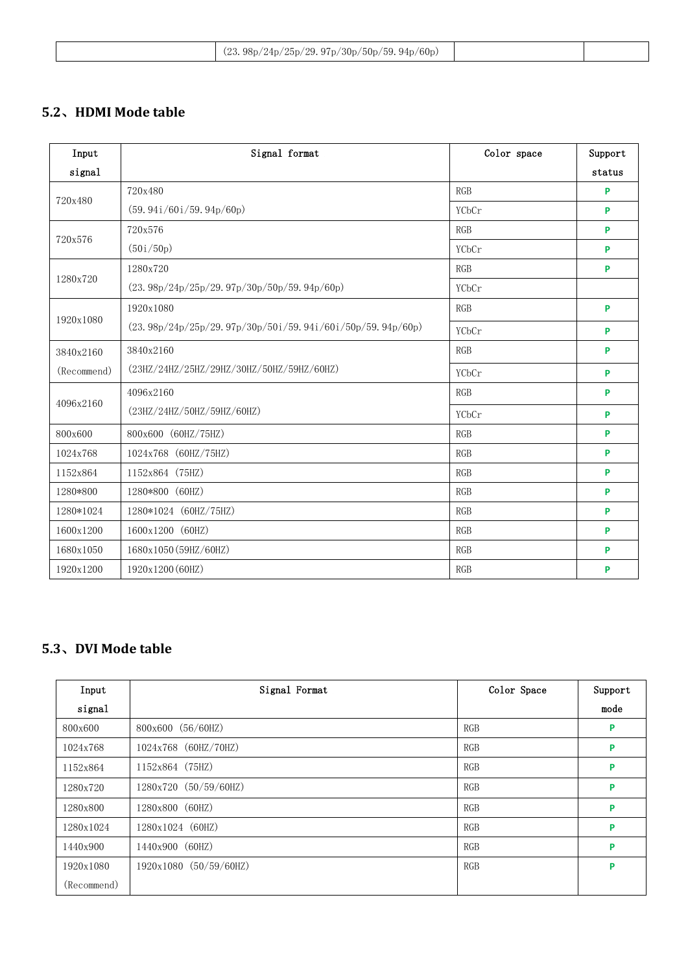| 709 |                                                        |  |
|-----|--------------------------------------------------------|--|
|     | (24p/25p/29.97p/30p/50p/59.94p/60p)<br>98 <sub>p</sub> |  |

#### **5.2**、**HDMI Mode table**

| Input       | Signal format                                               | Color space | Support |
|-------------|-------------------------------------------------------------|-------------|---------|
| signal      |                                                             |             | status  |
|             | 720x480                                                     | <b>RGB</b>  | P       |
| 720x480     | (59.94i/60i/59.94p/60p)                                     | YCbCr       | P       |
| 720x576     | 720x576                                                     | <b>RGB</b>  | P       |
|             | (50i/50p)                                                   | YCbCr       | P       |
|             | 1280x720                                                    | <b>RGB</b>  | P       |
| 1280x720    | $(23.98p/24p/25p/29.97p/30p/50p/59.94p/60p)$                | YCbCr       |         |
|             | 1920x1080                                                   | <b>RGB</b>  | P       |
| 1920x1080   | $(23.98p/24p/25p/29.97p/30p/50i/59.94i/60i/50p/59.94p/60p)$ | YCbCr       | P       |
| 3840x2160   | 3840x2160                                                   | <b>RGB</b>  | P       |
| (Recommend) | (23HZ/24HZ/25HZ/29HZ/30HZ/50HZ/59HZ/60HZ)                   | YCbCr       | P       |
|             | 4096x2160                                                   | <b>RGB</b>  | P       |
| 4096x2160   | (23HZ/24HZ/50HZ/59HZ/60HZ)                                  | YCbCr       | P       |
| 800x600     | 800x600 (60HZ/75HZ)                                         | <b>RGB</b>  | P       |
| 1024x768    | 1024x768 (60HZ/75HZ)                                        | <b>RGB</b>  | P       |
| 1152x864    | 1152x864 (75HZ)                                             | <b>RGB</b>  | P       |
| 1280*800    | 1280*800 (60HZ)                                             | <b>RGB</b>  | P       |
| 1280*1024   | 1280*1024 (60HZ/75HZ)                                       | <b>RGB</b>  | P       |
| 1600x1200   | 1600x1200 (60HZ)                                            | <b>RGB</b>  | P       |
| 1680x1050   | 1680x1050 (59HZ/60HZ)                                       | <b>RGB</b>  | P       |
| 1920x1200   | 1920x1200 (60HZ)                                            | <b>RGB</b>  | P       |

## **5.3**、**DVI Mode table**

| Input       | Signal Format          | Color Space | Support |
|-------------|------------------------|-------------|---------|
| signal      |                        |             | mode    |
| 800x600     | 800x600 (56/60HZ)      | <b>RGB</b>  | P       |
| 1024x768    | 1024x768 (60HZ/70HZ)   | <b>RGB</b>  | P       |
| 1152x864    | $1152x864$ (75HZ)      | <b>RGB</b>  | P       |
| 1280x720    | 1280x720 (50/59/60HZ)  | <b>RGB</b>  | P       |
| 1280x800    | 1280x800 (60HZ)        | <b>RGB</b>  | P       |
| 1280x1024   | 1280x1024 (60HZ)       | <b>RGB</b>  | P       |
| 1440x900    | 1440x900 (60HZ)        | <b>RGB</b>  | P       |
| 1920x1080   | 1920x1080 (50/59/60HZ) | <b>RGB</b>  | P       |
| (Recommend) |                        |             |         |